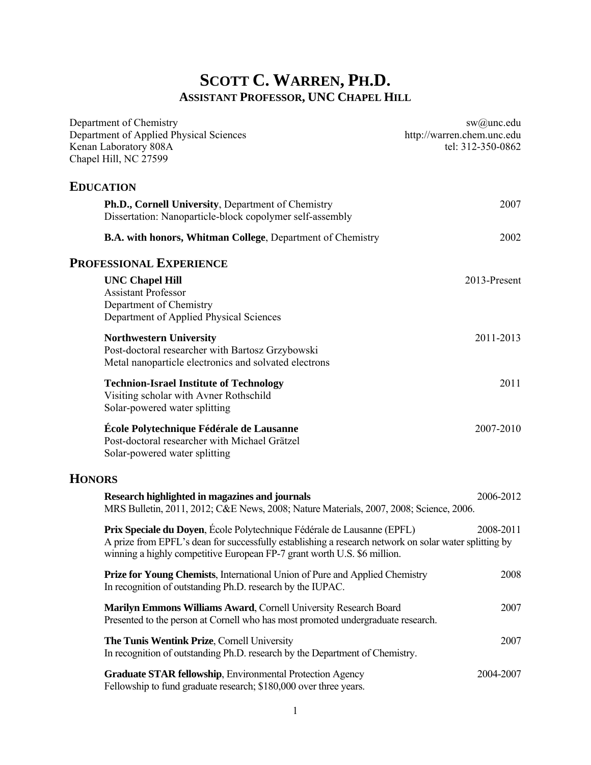# **SCOTT C. WARREN, PH.D. ASSISTANT PROFESSOR, UNC CHAPEL HILL**

| Department of Chemistry<br>Department of Applied Physical Sciences<br>Kenan Laboratory 808A<br>Chapel Hill, NC 27599                                                                                                                                         | $sw(a)$ unc.edu<br>http://warren.chem.unc.edu<br>tel: 312-350-0862 |
|--------------------------------------------------------------------------------------------------------------------------------------------------------------------------------------------------------------------------------------------------------------|--------------------------------------------------------------------|
| <b>EDUCATION</b>                                                                                                                                                                                                                                             |                                                                    |
| Ph.D., Cornell University, Department of Chemistry<br>Dissertation: Nanoparticle-block copolymer self-assembly                                                                                                                                               | 2007                                                               |
| B.A. with honors, Whitman College, Department of Chemistry                                                                                                                                                                                                   | 2002                                                               |
| <b>PROFESSIONAL EXPERIENCE</b>                                                                                                                                                                                                                               |                                                                    |
| <b>UNC Chapel Hill</b><br><b>Assistant Professor</b><br>Department of Chemistry<br>Department of Applied Physical Sciences                                                                                                                                   | 2013-Present                                                       |
| <b>Northwestern University</b><br>Post-doctoral researcher with Bartosz Grzybowski<br>Metal nanoparticle electronics and solvated electrons                                                                                                                  | 2011-2013                                                          |
| <b>Technion-Israel Institute of Technology</b><br>Visiting scholar with Avner Rothschild<br>Solar-powered water splitting                                                                                                                                    | 2011                                                               |
| École Polytechnique Fédérale de Lausanne<br>Post-doctoral researcher with Michael Grätzel<br>Solar-powered water splitting                                                                                                                                   | 2007-2010                                                          |
| <b>HONORS</b>                                                                                                                                                                                                                                                |                                                                    |
| Research highlighted in magazines and journals<br>MRS Bulletin, 2011, 2012; C&E News, 2008; Nature Materials, 2007, 2008; Science, 2006.                                                                                                                     | 2006-2012                                                          |
| Prix Speciale du Doyen, École Polytechnique Fédérale de Lausanne (EPFL)<br>A prize from EPFL's dean for successfully establishing a research network on solar water splitting by<br>winning a highly competitive European FP-7 grant worth U.S. \$6 million. | 2008-2011                                                          |
| <b>Prize for Young Chemists, International Union of Pure and Applied Chemistry</b><br>In recognition of outstanding Ph.D. research by the IUPAC.                                                                                                             | 2008                                                               |
| Marilyn Emmons Williams Award, Cornell University Research Board<br>Presented to the person at Cornell who has most promoted undergraduate research.                                                                                                         | 2007                                                               |
| The Tunis Wentink Prize, Cornell University<br>In recognition of outstanding Ph.D. research by the Department of Chemistry.                                                                                                                                  | 2007                                                               |
| Graduate STAR fellowship, Environmental Protection Agency<br>Fellowship to fund graduate research; \$180,000 over three years.                                                                                                                               | 2004-2007                                                          |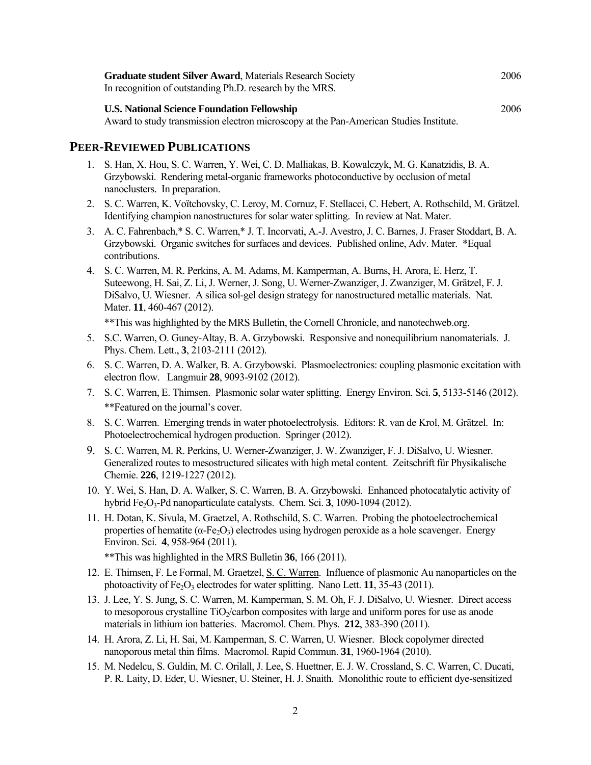| <b>Graduate student Silver Award, Materials Research Society</b><br>In recognition of outstanding Ph.D. research by the MRS.                 | 2006 |
|----------------------------------------------------------------------------------------------------------------------------------------------|------|
| <b>U.S. National Science Foundation Fellowship</b><br>Award to study transmission electron microscopy at the Pan-American Studies Institute. | 2006 |

#### **PEER-REVIEWED PUBLICATIONS**

- 1. S. Han, X. Hou, S. C. Warren, Y. Wei, C. D. Malliakas, B. Kowalczyk, M. G. Kanatzidis, B. A. Grzybowski. Rendering metal-organic frameworks photoconductive by occlusion of metal nanoclusters. In preparation.
- 2. S. C. Warren, K. Voïtchovsky, C. Leroy, M. Cornuz, F. Stellacci, C. Hebert, A. Rothschild, M. Grätzel. Identifying champion nanostructures for solar water splitting. In review at Nat. Mater.
- 3. A. C. Fahrenbach,\* S. C. Warren,\* J. T. Incorvati, A.-J. Avestro, J. C. Barnes, J. Fraser Stoddart, B. A. Grzybowski. Organic switches for surfaces and devices. Published online, Adv. Mater. \*Equal contributions.
- 4. S. C. Warren, M. R. Perkins, A. M. Adams, M. Kamperman, A. Burns, H. Arora, E. Herz, T. Suteewong, H. Sai, Z. Li, J. Werner, J. Song, U. Werner-Zwanziger, J. Zwanziger, M. Grätzel, F. J. DiSalvo, U. Wiesner. A silica sol-gel design strategy for nanostructured metallic materials. Nat. Mater. **11**, 460-467 (2012).

\*\*This was highlighted by the MRS Bulletin, the Cornell Chronicle, and nanotechweb.org.

- 5. S.C. Warren, O. Guney-Altay, B. A. Grzybowski. Responsive and nonequilibrium nanomaterials. J. Phys. Chem. Lett., **3**, 2103-2111 (2012).
- 6. S. C. Warren, D. A. Walker, B. A. Grzybowski. Plasmoelectronics: coupling plasmonic excitation with electron flow. Langmuir **28**, 9093-9102 (2012).
- 7. S. C. Warren, E. Thimsen. Plasmonic solar water splitting. Energy Environ. Sci. **5**, 5133-5146 (2012). \*\*Featured on the journal's cover.
- 8. S. C. Warren. Emerging trends in water photoelectrolysis. Editors: R. van de Krol, M. Grätzel. In: Photoelectrochemical hydrogen production. Springer (2012).
- 9. S. C. Warren, M. R. Perkins, U. Werner-Zwanziger, J. W. Zwanziger, F. J. DiSalvo, U. Wiesner. Generalized routes to mesostructured silicates with high metal content. Zeitschrift für Physikalische Chemie. **226**, 1219-1227 (2012).
- 10. Y. Wei, S. Han, D. A. Walker, S. C. Warren, B. A. Grzybowski. Enhanced photocatalytic activity of hybrid Fe<sub>2</sub>O<sub>3</sub>-Pd nanoparticulate catalysts. Chem. Sci. **3**, 1090-1094 (2012).
- 11. H. Dotan, K. Sivula, M. Graetzel, A. Rothschild, S. C. Warren. Probing the photoelectrochemical properties of hematite ( $\alpha$ -Fe<sub>2</sub>O<sub>3</sub>) electrodes using hydrogen peroxide as a hole scavenger. Energy Environ. Sci. **4**, 958-964 (2011).

\*\*This was highlighted in the MRS Bulletin **36**, 166 (2011).

- 12. E. Thimsen, F. Le Formal, M. Graetzel, S. C. Warren. Influence of plasmonic Au nanoparticles on the photoactivity of Fe<sub>2</sub>O<sub>3</sub> electrodes for water splitting. Nano Lett. **11**, 35-43 (2011).
- 13. J. Lee, Y. S. Jung, S. C. Warren, M. Kamperman, S. M. Oh, F. J. DiSalvo, U. Wiesner. Direct access to mesoporous crystalline TiO<sub>2</sub>/carbon composites with large and uniform pores for use as anode materials in lithium ion batteries. Macromol. Chem. Phys. **212**, 383-390 (2011).
- 14. H. Arora, Z. Li, H. Sai, M. Kamperman, S. C. Warren, U. Wiesner. Block copolymer directed nanoporous metal thin films. Macromol. Rapid Commun. **31**, 1960-1964 (2010).
- 15. M. Nedelcu, S. Guldin, M. C. Orilall, J. Lee, S. Huettner, E. J. W. Crossland, S. C. Warren, C. Ducati, P. R. Laity, D. Eder, U. Wiesner, U. Steiner, H. J. Snaith. Monolithic route to efficient dye-sensitized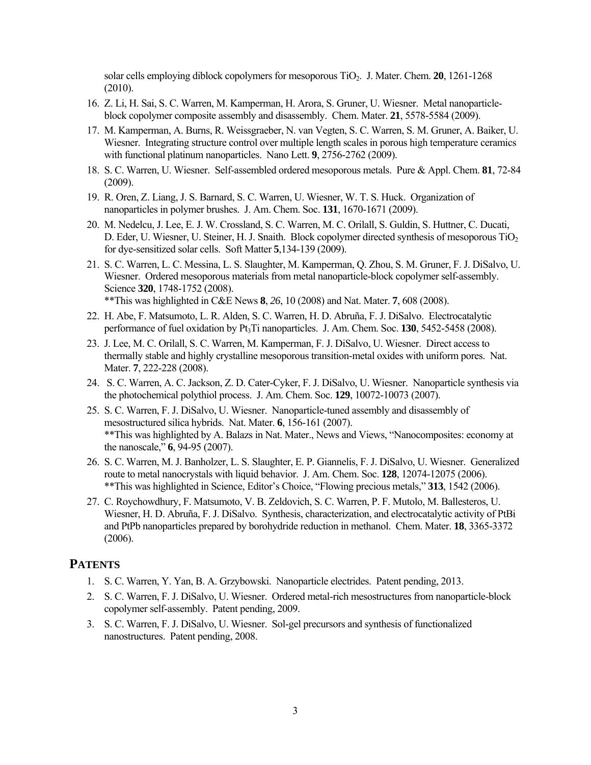solar cells employing diblock copolymers for mesoporous TiO2. J. Mater. Chem. **20**, 1261-1268 (2010).

- 16. Z. Li, H. Sai, S. C. Warren, M. Kamperman, H. Arora, S. Gruner, U. Wiesner. Metal nanoparticleblock copolymer composite assembly and disassembly. Chem. Mater. **21**, 5578-5584 (2009).
- 17. M. Kamperman, A. Burns, R. Weissgraeber, N. van Vegten, S. C. Warren, S. M. Gruner, A. Baiker, U. Wiesner. Integrating structure control over multiple length scales in porous high temperature ceramics with functional platinum nanoparticles. Nano Lett. **9**, 2756-2762 (2009).
- 18. S. C. Warren, U. Wiesner. Self-assembled ordered mesoporous metals. Pure & Appl. Chem. **81**, 72-84 (2009).
- 19. R. Oren, Z. Liang, J. S. Barnard, S. C. Warren, U. Wiesner, W. T. S. Huck. Organization of nanoparticles in polymer brushes. J. Am. Chem. Soc. **131**, 1670-1671 (2009).
- 20. M. Nedelcu, J. Lee, E. J. W. Crossland, S. C. Warren, M. C. Orilall, S. Guldin, S. Huttner, C. Ducati, D. Eder, U. Wiesner, U. Steiner, H. J. Snaith. Block copolymer directed synthesis of mesoporous TiO<sub>2</sub> for dye-sensitized solar cells. Soft Matter **5**,134-139 (2009).
- 21. S. C. Warren, L. C. Messina, L. S. Slaughter, M. Kamperman, Q. Zhou, S. M. Gruner, F. J. DiSalvo, U. Wiesner. Ordered mesoporous materials from metal nanoparticle-block copolymer self-assembly. Science **320**, 1748-1752 (2008). \*\*This was highlighted in C&E News **8**, *26*, 10 (2008) and Nat. Mater. **7**, 608 (2008).
- 22. H. Abe, F. Matsumoto, L. R. Alden, S. C. Warren, H. D. Abruña, F. J. DiSalvo. Electrocatalytic performance of fuel oxidation by Pt<sub>3</sub>Ti nanoparticles. J. Am. Chem. Soc. **130**, 5452-5458 (2008).
- 23. J. Lee, M. C. Orilall, S. C. Warren, M. Kamperman, F. J. DiSalvo, U. Wiesner. Direct access to thermally stable and highly crystalline mesoporous transition-metal oxides with uniform pores. Nat. Mater. **7**, 222-228 (2008).
- 24. S. C. Warren, A. C. Jackson, Z. D. Cater-Cyker, F. J. DiSalvo, U. Wiesner. Nanoparticle synthesis via the photochemical polythiol process. J. Am. Chem. Soc. **129**, 10072-10073 (2007).
- 25. S. C. Warren, F. J. DiSalvo, U. Wiesner. Nanoparticle-tuned assembly and disassembly of mesostructured silica hybrids. Nat. Mater. **6**, 156-161 (2007). \*\*This was highlighted by A. Balazs in Nat. Mater., News and Views, "Nanocomposites: economy at the nanoscale," **6**, 94-95 (2007).
- 26. S. C. Warren, M. J. Banholzer, L. S. Slaughter, E. P. Giannelis, F. J. DiSalvo, U. Wiesner. Generalized route to metal nanocrystals with liquid behavior. J. Am. Chem. Soc. **128**, 12074-12075 (2006). \*\*This was highlighted in Science, Editor's Choice, "Flowing precious metals," **313**, 1542 (2006).
- 27. C. Roychowdhury, F. Matsumoto, V. B. Zeldovich, S. C. Warren, P. F. Mutolo, M. Ballesteros, U. Wiesner, H. D. Abruña, F. J. DiSalvo. Synthesis, characterization, and electrocatalytic activity of PtBi and PtPb nanoparticles prepared by borohydride reduction in methanol. Chem. Mater. **18**, 3365-3372 (2006).

### **PATENTS**

- 1. S. C. Warren, Y. Yan, B. A. Grzybowski. Nanoparticle electrides. Patent pending, 2013.
- 2. S. C. Warren, F. J. DiSalvo, U. Wiesner. Ordered metal-rich mesostructures from nanoparticle-block copolymer self-assembly. Patent pending, 2009.
- 3. S. C. Warren, F. J. DiSalvo, U. Wiesner. Sol-gel precursors and synthesis of functionalized nanostructures. Patent pending, 2008.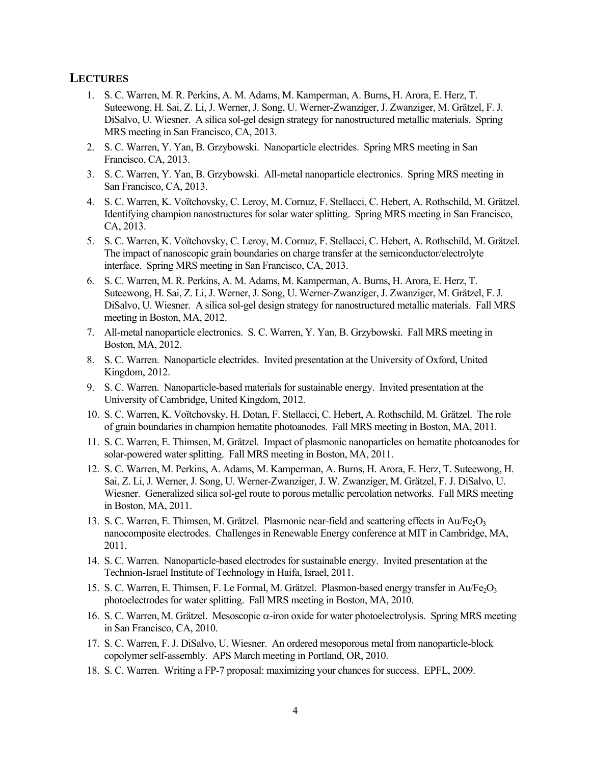### **LECTURES**

- 1. S. C. Warren, M. R. Perkins, A. M. Adams, M. Kamperman, A. Burns, H. Arora, E. Herz, T. Suteewong, H. Sai, Z. Li, J. Werner, J. Song, U. Werner-Zwanziger, J. Zwanziger, M. Grätzel, F. J. DiSalvo, U. Wiesner. A silica sol-gel design strategy for nanostructured metallic materials. Spring MRS meeting in San Francisco, CA, 2013.
- 2. S. C. Warren, Y. Yan, B. Grzybowski. Nanoparticle electrides. Spring MRS meeting in San Francisco, CA, 2013.
- 3. S. C. Warren, Y. Yan, B. Grzybowski. All-metal nanoparticle electronics. Spring MRS meeting in San Francisco, CA, 2013.
- 4. S. C. Warren, K. Voïtchovsky, C. Leroy, M. Cornuz, F. Stellacci, C. Hebert, A. Rothschild, M. Grätzel. Identifying champion nanostructures for solar water splitting. Spring MRS meeting in San Francisco, CA, 2013.
- 5. S. C. Warren, K. Voïtchovsky, C. Leroy, M. Cornuz, F. Stellacci, C. Hebert, A. Rothschild, M. Grätzel. The impact of nanoscopic grain boundaries on charge transfer at the semiconductor/electrolyte interface. Spring MRS meeting in San Francisco, CA, 2013.
- 6. S. C. Warren, M. R. Perkins, A. M. Adams, M. Kamperman, A. Burns, H. Arora, E. Herz, T. Suteewong, H. Sai, Z. Li, J. Werner, J. Song, U. Werner-Zwanziger, J. Zwanziger, M. Grätzel, F. J. DiSalvo, U. Wiesner. A silica sol-gel design strategy for nanostructured metallic materials. Fall MRS meeting in Boston, MA, 2012.
- 7. All-metal nanoparticle electronics. S. C. Warren, Y. Yan, B. Grzybowski. Fall MRS meeting in Boston, MA, 2012.
- 8. S. C. Warren. Nanoparticle electrides. Invited presentation at the University of Oxford, United Kingdom, 2012.
- 9. S. C. Warren. Nanoparticle-based materials for sustainable energy. Invited presentation at the University of Cambridge, United Kingdom, 2012.
- 10. S. C. Warren, K. Voïtchovsky, H. Dotan, F. Stellacci, C. Hebert, A. Rothschild, M. Grätzel. The role of grain boundaries in champion hematite photoanodes. Fall MRS meeting in Boston, MA, 2011.
- 11. S. C. Warren, E. Thimsen, M. Grätzel. Impact of plasmonic nanoparticles on hematite photoanodes for solar-powered water splitting. Fall MRS meeting in Boston, MA, 2011.
- 12. S. C. Warren, M. Perkins, A. Adams, M. Kamperman, A. Burns, H. Arora, E. Herz, T. Suteewong, H. Sai, Z. Li, J. Werner, J. Song, U. Werner-Zwanziger, J. W. Zwanziger, M. Grätzel, F. J. DiSalvo, U. Wiesner. Generalized silica sol-gel route to porous metallic percolation networks. Fall MRS meeting in Boston, MA, 2011.
- 13. S. C. Warren, E. Thimsen, M. Grätzel. Plasmonic near-field and scattering effects in Au/Fe<sub>2</sub>O<sub>3</sub> nanocomposite electrodes. Challenges in Renewable Energy conference at MIT in Cambridge, MA, 2011.
- 14. S. C. Warren. Nanoparticle-based electrodes for sustainable energy. Invited presentation at the Technion-Israel Institute of Technology in Haifa, Israel, 2011.
- 15. S. C. Warren, E. Thimsen, F. Le Formal, M. Grätzel. Plasmon-based energy transfer in  $Au/Fe<sub>2</sub>O<sub>3</sub>$ photoelectrodes for water splitting. Fall MRS meeting in Boston, MA, 2010.
- 16. S. C. Warren, M. Grätzel. Mesoscopic  $\alpha$ -iron oxide for water photoelectrolysis. Spring MRS meeting in San Francisco, CA, 2010.
- 17. S. C. Warren, F. J. DiSalvo, U. Wiesner. An ordered mesoporous metal from nanoparticle-block copolymer self-assembly. APS March meeting in Portland, OR, 2010.
- 18. S. C. Warren. Writing a FP-7 proposal: maximizing your chances for success. EPFL, 2009.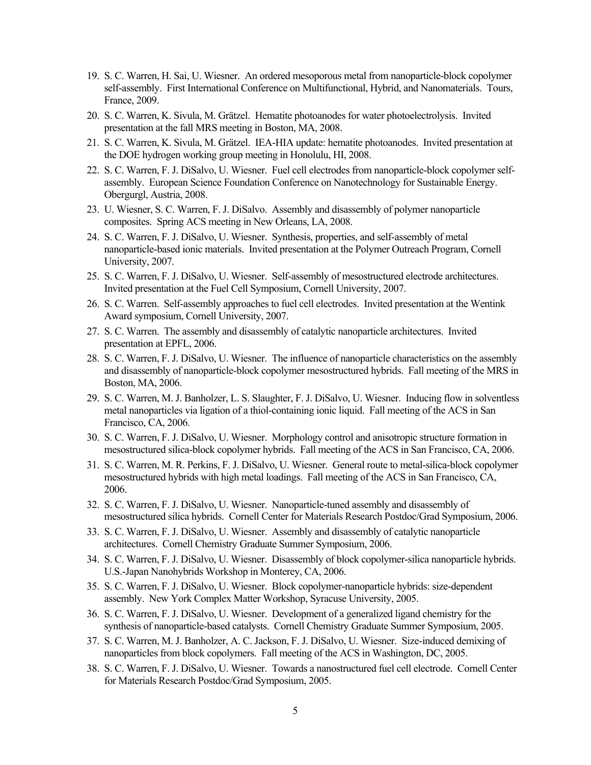- 19. S. C. Warren, H. Sai, U. Wiesner. An ordered mesoporous metal from nanoparticle-block copolymer self-assembly. First International Conference on Multifunctional, Hybrid, and Nanomaterials. Tours, France, 2009.
- 20. S. C. Warren, K. Sivula, M. Grätzel. Hematite photoanodes for water photoelectrolysis. Invited presentation at the fall MRS meeting in Boston, MA, 2008.
- 21. S. C. Warren, K. Sivula, M. Grätzel. IEA-HIA update: hematite photoanodes. Invited presentation at the DOE hydrogen working group meeting in Honolulu, HI, 2008.
- 22. S. C. Warren, F. J. DiSalvo, U. Wiesner. Fuel cell electrodes from nanoparticle-block copolymer selfassembly. European Science Foundation Conference on Nanotechnology for Sustainable Energy. Obergurgl, Austria, 2008.
- 23. U. Wiesner, S. C. Warren, F. J. DiSalvo. Assembly and disassembly of polymer nanoparticle composites. Spring ACS meeting in New Orleans, LA, 2008.
- 24. S. C. Warren, F. J. DiSalvo, U. Wiesner. Synthesis, properties, and self-assembly of metal nanoparticle-based ionic materials. Invited presentation at the Polymer Outreach Program, Cornell University, 2007.
- 25. S. C. Warren, F. J. DiSalvo, U. Wiesner. Self-assembly of mesostructured electrode architectures. Invited presentation at the Fuel Cell Symposium, Cornell University, 2007.
- 26. S. C. Warren. Self-assembly approaches to fuel cell electrodes. Invited presentation at the Wentink Award symposium, Cornell University, 2007.
- 27. S. C. Warren. The assembly and disassembly of catalytic nanoparticle architectures. Invited presentation at EPFL, 2006.
- 28. S. C. Warren, F. J. DiSalvo, U. Wiesner. The influence of nanoparticle characteristics on the assembly and disassembly of nanoparticle-block copolymer mesostructured hybrids. Fall meeting of the MRS in Boston, MA, 2006.
- 29. S. C. Warren, M. J. Banholzer, L. S. Slaughter, F. J. DiSalvo, U. Wiesner. Inducing flow in solventless metal nanoparticles via ligation of a thiol-containing ionic liquid. Fall meeting of the ACS in San Francisco, CA, 2006.
- 30. S. C. Warren, F. J. DiSalvo, U. Wiesner. Morphology control and anisotropic structure formation in mesostructured silica-block copolymer hybrids. Fall meeting of the ACS in San Francisco, CA, 2006.
- 31. S. C. Warren, M. R. Perkins, F. J. DiSalvo, U. Wiesner. General route to metal-silica-block copolymer mesostructured hybrids with high metal loadings. Fall meeting of the ACS in San Francisco, CA, 2006.
- 32. S. C. Warren, F. J. DiSalvo, U. Wiesner. Nanoparticle-tuned assembly and disassembly of mesostructured silica hybrids. Cornell Center for Materials Research Postdoc/Grad Symposium, 2006.
- 33. S. C. Warren, F. J. DiSalvo, U. Wiesner. Assembly and disassembly of catalytic nanoparticle architectures. Cornell Chemistry Graduate Summer Symposium, 2006.
- 34. S. C. Warren, F. J. DiSalvo, U. Wiesner. Disassembly of block copolymer-silica nanoparticle hybrids. U.S.-Japan Nanohybrids Workshop in Monterey, CA, 2006.
- 35. S. C. Warren, F. J. DiSalvo, U. Wiesner. Block copolymer-nanoparticle hybrids: size-dependent assembly. New York Complex Matter Workshop, Syracuse University, 2005.
- 36. S. C. Warren, F. J. DiSalvo, U. Wiesner. Development of a generalized ligand chemistry for the synthesis of nanoparticle-based catalysts. Cornell Chemistry Graduate Summer Symposium, 2005.
- 37. S. C. Warren, M. J. Banholzer, A. C. Jackson, F. J. DiSalvo, U. Wiesner. Size-induced demixing of nanoparticles from block copolymers. Fall meeting of the ACS in Washington, DC, 2005.
- 38. S. C. Warren, F. J. DiSalvo, U. Wiesner. Towards a nanostructured fuel cell electrode. Cornell Center for Materials Research Postdoc/Grad Symposium, 2005.